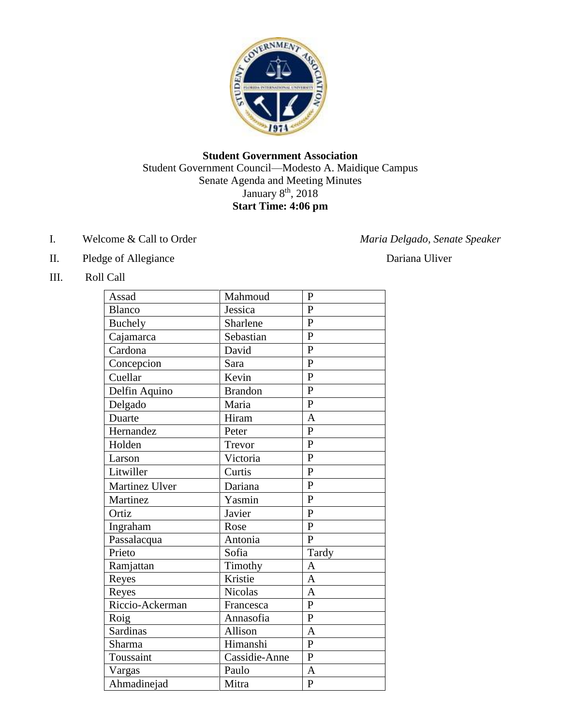

## **Student Government Association** Student Government Council—Modesto A. Maidique Campus Senate Agenda and Meeting Minutes January 8<sup>th</sup>, 2018 **Start Time: 4:06 pm**

- I. Welcome & Call to Order *Maria Delgado, Senate Speaker*
- II. Pledge of Allegiance Dariana Uliver
- III. Roll Call

| Assad           | Mahmoud        | $\mathbf{P}$   |
|-----------------|----------------|----------------|
| <b>Blanco</b>   | Jessica        | $\mathbf{P}$   |
| <b>Buchely</b>  | Sharlene       | $\overline{P}$ |
| Cajamarca       | Sebastian      | $\overline{P}$ |
| Cardona         | David          | $\overline{P}$ |
| Concepcion      | Sara           | $\mathbf{P}$   |
| Cuellar         | Kevin          | $\overline{P}$ |
| Delfin Aquino   | <b>Brandon</b> | $\overline{P}$ |
| Delgado         | Maria          | $\overline{P}$ |
| Duarte          | Hiram          | $\overline{A}$ |
| Hernandez       | Peter          | $\overline{P}$ |
| Holden          | Trevor         | $\overline{P}$ |
| Larson          | Victoria       | $\overline{P}$ |
| Litwiller       | Curtis         | $\mathbf{P}$   |
| Martinez Ulver  | Dariana        | $\mathbf{P}$   |
| Martinez        | Yasmin         | $\overline{P}$ |
| Ortiz           | Javier         | $\overline{P}$ |
| Ingraham        | Rose           | $\mathbf{P}$   |
| Passalacqua     | Antonia        | $\overline{P}$ |
| Prieto          | Sofia          | Tardy          |
| Ramjattan       | Timothy        | $\overline{A}$ |
| Reyes           | Kristie        | $\overline{A}$ |
| Reyes           | <b>Nicolas</b> | $\overline{A}$ |
| Riccio-Ackerman | Francesca      | $\overline{P}$ |
| Roig            | Annasofia      | $\mathbf{P}$   |
| Sardinas        | Allison        | $\overline{A}$ |
| Sharma          | Himanshi       | $\mathbf{P}$   |
| Toussaint       | Cassidie-Anne  | $\overline{P}$ |
| Vargas          | Paulo          | $\overline{A}$ |
| Ahmadinejad     | Mitra          | $\overline{P}$ |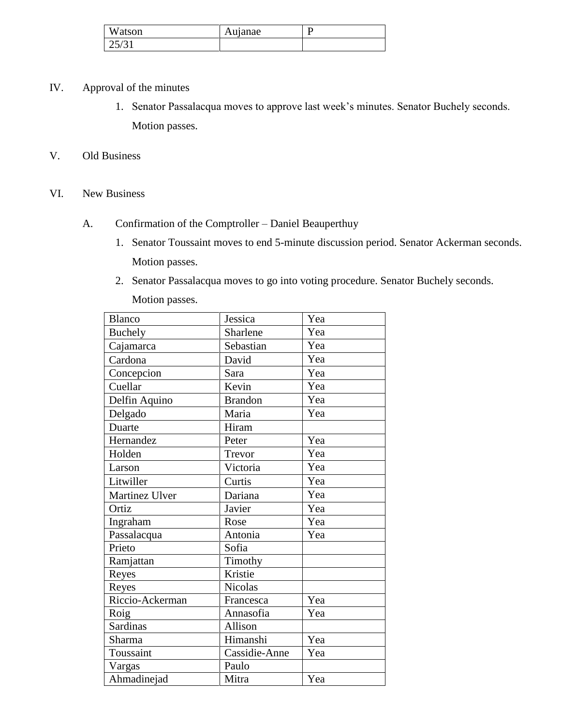| Watson  | Aujanae |  |
|---------|---------|--|
| ا ن ارب |         |  |

- IV. Approval of the minutes
	- 1. Senator Passalacqua moves to approve last week's minutes. Senator Buchely seconds. Motion passes.
- V. Old Business
- VI. New Business
	- A. Confirmation of the Comptroller Daniel Beauperthuy
		- 1. Senator Toussaint moves to end 5-minute discussion period. Senator Ackerman seconds. Motion passes.
		- 2. Senator Passalacqua moves to go into voting procedure. Senator Buchely seconds.

Motion passes.

| <b>Blanco</b>   | Jessica        | Yea |
|-----------------|----------------|-----|
| <b>Buchely</b>  | Sharlene       | Yea |
| Cajamarca       | Sebastian      | Yea |
| Cardona         | David          | Yea |
| Concepcion      | Sara           | Yea |
| Cuellar         | Kevin          | Yea |
| Delfin Aquino   | <b>Brandon</b> | Yea |
| Delgado         | Maria          | Yea |
| Duarte          | Hiram          |     |
| Hernandez       | Peter          | Yea |
| Holden          | Trevor         | Yea |
| Larson          | Victoria       | Yea |
| Litwiller       | Curtis         | Yea |
| Martinez Ulver  | Dariana        | Yea |
| Ortiz           | Javier         | Yea |
| Ingraham        | Rose           | Yea |
| Passalacqua     | Antonia        | Yea |
| Prieto          | Sofia          |     |
| Ramjattan       | Timothy        |     |
| Reyes           | Kristie        |     |
| Reyes           | <b>Nicolas</b> |     |
| Riccio-Ackerman | Francesca      | Yea |
| Roig            | Annasofia      | Yea |
| <b>Sardinas</b> | Allison        |     |
| Sharma          | Himanshi       | Yea |
| Toussaint       | Cassidie-Anne  | Yea |
| Vargas          | Paulo          |     |
| Ahmadinejad     | Mitra          | Yea |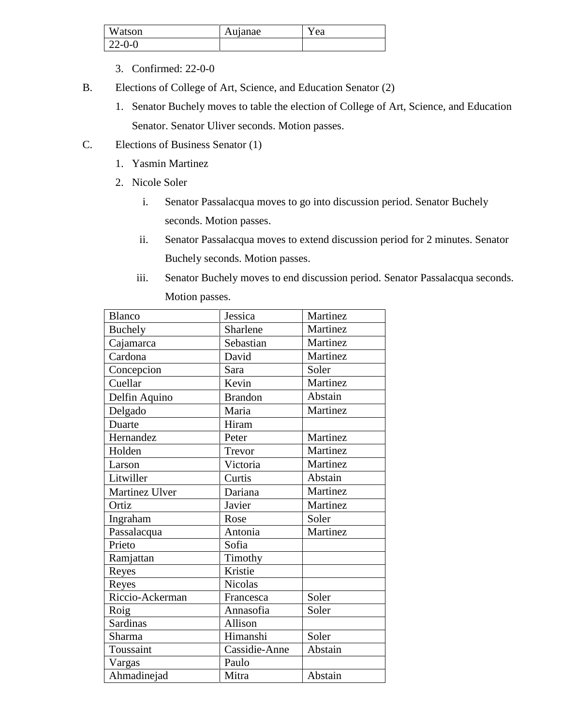| Watson       | Aujanae | r ea |
|--------------|---------|------|
| $22 - 0 - 0$ |         |      |

- 3. Confirmed: 22-0-0
- B. Elections of College of Art, Science, and Education Senator (2)
	- 1. Senator Buchely moves to table the election of College of Art, Science, and Education Senator. Senator Uliver seconds. Motion passes.
- C. Elections of Business Senator (1)
	- 1. Yasmin Martinez
	- 2. Nicole Soler
		- i. Senator Passalacqua moves to go into discussion period. Senator Buchely seconds. Motion passes.
		- ii. Senator Passalacqua moves to extend discussion period for 2 minutes. Senator Buchely seconds. Motion passes.
		- iii. Senator Buchely moves to end discussion period. Senator Passalacqua seconds. Motion passes.

| Blanco          | Jessica        | Martinez |
|-----------------|----------------|----------|
| <b>Buchely</b>  | Sharlene       | Martinez |
| Cajamarca       | Sebastian      | Martinez |
| Cardona         | David          | Martinez |
| Concepcion      | Sara           | Soler    |
| Cuellar         | Kevin          | Martinez |
| Delfin Aquino   | <b>Brandon</b> | Abstain  |
| Delgado         | Maria          | Martinez |
| Duarte          | Hiram          |          |
| Hernandez       | Peter          | Martinez |
| Holden          | Trevor         | Martinez |
| Larson          | Victoria       | Martinez |
| Litwiller       | Curtis         | Abstain  |
| Martinez Ulver  | Dariana        | Martinez |
| Ortiz           | Javier         | Martinez |
| Ingraham        | Rose           | Soler    |
| Passalacqua     | Antonia        | Martinez |
| Prieto          | Sofia          |          |
| Ramjattan       | Timothy        |          |
| Reyes           | Kristie        |          |
| Reyes           | <b>Nicolas</b> |          |
| Riccio-Ackerman | Francesca      | Soler    |
| Roig            | Annasofia      | Soler    |
| Sardinas        | Allison        |          |
| Sharma          | Himanshi       | Soler    |
| Toussaint       | Cassidie-Anne  | Abstain  |
| Vargas          | Paulo          |          |
| Ahmadinejad     | Mitra          | Abstain  |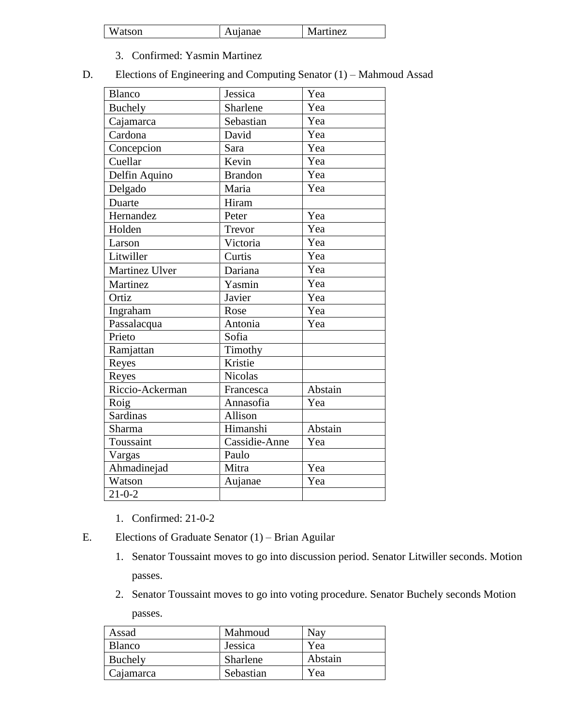| atson | anae | Martinez |
|-------|------|----------|
|-------|------|----------|

- 3. Confirmed: Yasmin Martinez
- D. Elections of Engineering and Computing Senator (1) Mahmoud Assad

| <b>Blanco</b>   | Jessica        | Yea     |
|-----------------|----------------|---------|
| <b>Buchely</b>  | Sharlene       | Yea     |
| Cajamarca       | Sebastian      | Yea     |
| Cardona         | David          | Yea     |
| Concepcion      | Sara           | Yea     |
| Cuellar         | Kevin          | Yea     |
| Delfin Aquino   | <b>Brandon</b> | Yea     |
| Delgado         | Maria          | Yea     |
| Duarte          | Hiram          |         |
| Hernandez       | Peter          | Yea     |
| Holden          | Trevor         | Yea     |
| Larson          | Victoria       | Yea     |
| Litwiller       | Curtis         | Yea     |
| Martinez Ulver  | Dariana        | Yea     |
| Martinez        | Yasmin         | Yea     |
| Ortiz           | Javier         | Yea     |
| Ingraham        | Rose           | Yea     |
| Passalacqua     | Antonia        | Yea     |
| Prieto          | Sofia          |         |
| Ramjattan       | Timothy        |         |
| Reyes           | Kristie        |         |
| Reyes           | Nicolas        |         |
| Riccio-Ackerman | Francesca      | Abstain |
| Roig            | Annasofia      | Yea     |
| <b>Sardinas</b> | Allison        |         |
| Sharma          | Himanshi       | Abstain |
| Toussaint       | Cassidie-Anne  | Yea     |
| Vargas          | Paulo          |         |
| Ahmadinejad     | Mitra          | Yea     |
| Watson          | Aujanae        | Yea     |
| $21 - 0 - 2$    |                |         |

- 1. Confirmed: 21-0-2
- E. Elections of Graduate Senator (1) Brian Aguilar
	- 1. Senator Toussaint moves to go into discussion period. Senator Litwiller seconds. Motion passes.
	- 2. Senator Toussaint moves to go into voting procedure. Senator Buchely seconds Motion passes.

| Assad         | Mahmoud   | Nav     |
|---------------|-----------|---------|
| <b>Blanco</b> | Jessica   | Yea     |
| Buchely       | Sharlene  | Abstain |
| Cajamarca     | Sebastian | Yea     |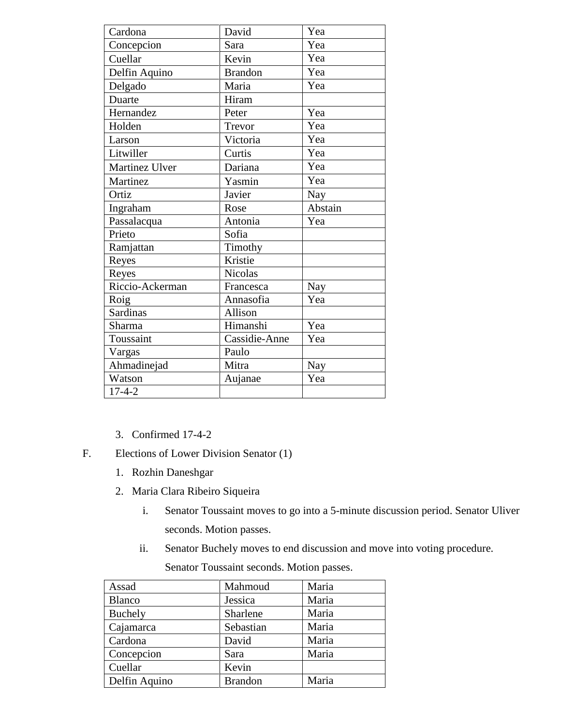| Cardona         | David          | Yea        |
|-----------------|----------------|------------|
| Concepcion      | Sara           | Yea        |
| Cuellar         | Kevin          | Yea        |
| Delfin Aquino   | <b>Brandon</b> | Yea        |
| Delgado         | Maria          | Yea        |
| Duarte          | Hiram          |            |
| Hernandez       | Peter          | Yea        |
| Holden          | Trevor         | Yea        |
| Larson          | Victoria       | Yea        |
| Litwiller       | Curtis         | Yea        |
| Martinez Ulver  | Dariana        | Yea        |
| Martinez        | Yasmin         | Yea        |
| Ortiz           | Javier         | <b>Nay</b> |
| Ingraham        | Rose           | Abstain    |
| Passalacqua     | Antonia        | Yea        |
| Prieto          | Sofia          |            |
| Ramjattan       | Timothy        |            |
| Reyes           | Kristie        |            |
| Reyes           | <b>Nicolas</b> |            |
| Riccio-Ackerman | Francesca      | Nay        |
| Roig            | Annasofia      | Yea        |
| <b>Sardinas</b> | Allison        |            |
| Sharma          | Himanshi       | Yea        |
| Toussaint       | Cassidie-Anne  | Yea        |
| Vargas          | Paulo          |            |
| Ahmadinejad     | Mitra          | Nay        |
| Watson          | Aujanae        | Yea        |
| $17 - 4 - 2$    |                |            |

- 3. Confirmed 17-4-2
- F. Elections of Lower Division Senator (1)
	- 1. Rozhin Daneshgar
	- 2. Maria Clara Ribeiro Siqueira
		- i. Senator Toussaint moves to go into a 5-minute discussion period. Senator Uliver seconds. Motion passes.
		- ii. Senator Buchely moves to end discussion and move into voting procedure.

Senator Toussaint seconds. Motion passes.

| Assad          | Mahmoud        | Maria |
|----------------|----------------|-------|
| <b>Blanco</b>  | Jessica        | Maria |
| <b>Buchely</b> | Sharlene       | Maria |
| Cajamarca      | Sebastian      | Maria |
| Cardona        | David          | Maria |
| Concepcion     | Sara           | Maria |
| Cuellar        | Kevin          |       |
| Delfin Aquino  | <b>Brandon</b> | Maria |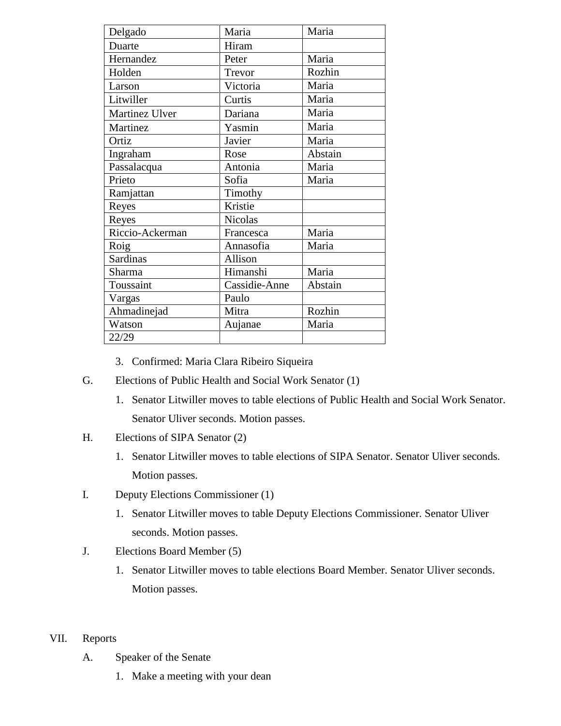| Delgado         | Maria          | Maria   |
|-----------------|----------------|---------|
| Duarte          | Hiram          |         |
| Hernandez       | Peter          | Maria   |
| Holden          | Trevor         | Rozhin  |
| Larson          | Victoria       | Maria   |
| Litwiller       | Curtis         | Maria   |
| Martinez Ulver  | Dariana        | Maria   |
| Martinez        | Yasmin         | Maria   |
| Ortiz           | Javier         | Maria   |
| Ingraham        | Rose           | Abstain |
| Passalacqua     | Antonia        | Maria   |
| Prieto          | Sofia          | Maria   |
| Ramjattan       | Timothy        |         |
| Reyes           | Kristie        |         |
| Reyes           | <b>Nicolas</b> |         |
| Riccio-Ackerman | Francesca      | Maria   |
| Roig            | Annasofia      | Maria   |
| <b>Sardinas</b> | Allison        |         |
| Sharma          | Himanshi       | Maria   |
| Toussaint       | Cassidie-Anne  | Abstain |
| Vargas          | Paulo          |         |
| Ahmadinejad     | Mitra          | Rozhin  |
| Watson          | Aujanae        | Maria   |
| 22/29           |                |         |

- 3. Confirmed: Maria Clara Ribeiro Siqueira
- G. Elections of Public Health and Social Work Senator (1)
	- 1. Senator Litwiller moves to table elections of Public Health and Social Work Senator. Senator Uliver seconds. Motion passes.
- H. Elections of SIPA Senator (2)
	- 1. Senator Litwiller moves to table elections of SIPA Senator. Senator Uliver seconds. Motion passes.
- I. Deputy Elections Commissioner (1)
	- 1. Senator Litwiller moves to table Deputy Elections Commissioner. Senator Uliver seconds. Motion passes.
- J. Elections Board Member (5)
	- 1. Senator Litwiller moves to table elections Board Member. Senator Uliver seconds. Motion passes.
- VII. Reports
	- A. Speaker of the Senate
		- 1. Make a meeting with your dean